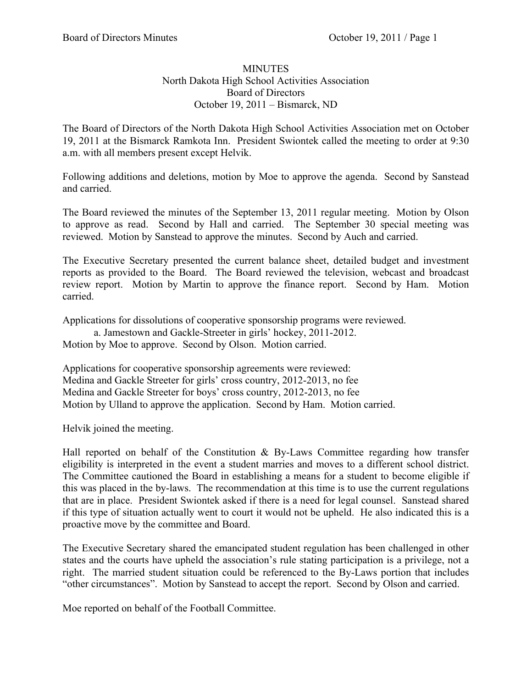## **MINUTES** North Dakota High School Activities Association Board of Directors October 19, 2011 – Bismarck, ND

The Board of Directors of the North Dakota High School Activities Association met on October 19, 2011 at the Bismarck Ramkota Inn. President Swiontek called the meeting to order at 9:30 a.m. with all members present except Helvik.

Following additions and deletions, motion by Moe to approve the agenda. Second by Sanstead and carried.

The Board reviewed the minutes of the September 13, 2011 regular meeting. Motion by Olson to approve as read. Second by Hall and carried. The September 30 special meeting was reviewed. Motion by Sanstead to approve the minutes. Second by Auch and carried.

The Executive Secretary presented the current balance sheet, detailed budget and investment reports as provided to the Board. The Board reviewed the television, webcast and broadcast review report. Motion by Martin to approve the finance report. Second by Ham. Motion carried.

Applications for dissolutions of cooperative sponsorship programs were reviewed.

a. Jamestown and Gackle-Streeter in girls' hockey, 2011-2012. Motion by Moe to approve. Second by Olson. Motion carried.

Applications for cooperative sponsorship agreements were reviewed: Medina and Gackle Streeter for girls' cross country, 2012-2013, no fee Medina and Gackle Streeter for boys' cross country, 2012-2013, no fee Motion by Ulland to approve the application. Second by Ham. Motion carried.

Helvik joined the meeting.

Hall reported on behalf of the Constitution  $\&$  By-Laws Committee regarding how transfer eligibility is interpreted in the event a student marries and moves to a different school district. The Committee cautioned the Board in establishing a means for a student to become eligible if this was placed in the by-laws. The recommendation at this time is to use the current regulations that are in place. President Swiontek asked if there is a need for legal counsel. Sanstead shared if this type of situation actually went to court it would not be upheld. He also indicated this is a proactive move by the committee and Board.

The Executive Secretary shared the emancipated student regulation has been challenged in other states and the courts have upheld the association's rule stating participation is a privilege, not a right. The married student situation could be referenced to the By-Laws portion that includes "other circumstances". Motion by Sanstead to accept the report. Second by Olson and carried.

Moe reported on behalf of the Football Committee.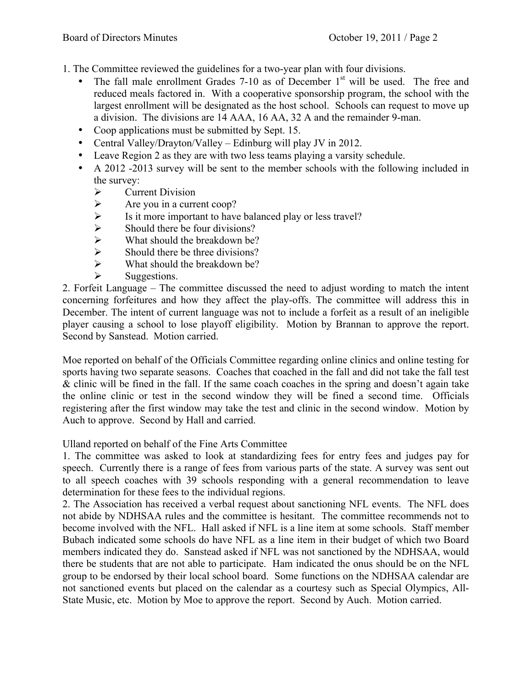1. The Committee reviewed the guidelines for a two-year plan with four divisions.

- The fall male enrollment Grades 7-10 as of December  $1<sup>st</sup>$  will be used. The free and reduced meals factored in. With a cooperative sponsorship program, the school with the largest enrollment will be designated as the host school. Schools can request to move up a division. The divisions are 14 AAA, 16 AA, 32 A and the remainder 9-man.
- Coop applications must be submitted by Sept. 15.
- Central Valley/Drayton/Valley Edinburg will play JV in 2012.
- Leave Region 2 as they are with two less teams playing a varsity schedule.
- A 2012 -2013 survey will be sent to the member schools with the following included in the survey:
	-
	- > Current Division<br>> Are you in a curre
	- Are you in a current coop?<br>  $\triangleright$  Is it more important to have <ul>\n<li>▶ Is it more important to have balanced play or less travel?</li>\n<li>▶ Should there be four divisions?</li>\n<li>▶ What should the breakdown be?</li>\n<li>▶ Should there be three divisions?</li>\n</ul>
	- Should there be four divisions?
	- What should the breakdown be?
	- $\geq$  Should there be three divisions?<br> $\geq$  What should the breakdown be?
	- What should the breakdown be?
	- $\triangleright$  Suggestions.

2. Forfeit Language – The committee discussed the need to adjust wording to match the intent concerning forfeitures and how they affect the play-offs. The committee will address this in December. The intent of current language was not to include a forfeit as a result of an ineligible player causing a school to lose playoff eligibility. Motion by Brannan to approve the report. Second by Sanstead. Motion carried.

Moe reported on behalf of the Officials Committee regarding online clinics and online testing for sports having two separate seasons. Coaches that coached in the fall and did not take the fall test & clinic will be fined in the fall. If the same coach coaches in the spring and doesn't again take the online clinic or test in the second window they will be fined a second time. Officials registering after the first window may take the test and clinic in the second window. Motion by Auch to approve. Second by Hall and carried.

Ulland reported on behalf of the Fine Arts Committee

1. The committee was asked to look at standardizing fees for entry fees and judges pay for speech. Currently there is a range of fees from various parts of the state. A survey was sent out to all speech coaches with 39 schools responding with a general recommendation to leave determination for these fees to the individual regions.

2. The Association has received a verbal request about sanctioning NFL events. The NFL does not abide by NDHSAA rules and the committee is hesitant. The committee recommends not to become involved with the NFL. Hall asked if NFL is a line item at some schools. Staff member Bubach indicated some schools do have NFL as a line item in their budget of which two Board members indicated they do. Sanstead asked if NFL was not sanctioned by the NDHSAA, would there be students that are not able to participate. Ham indicated the onus should be on the NFL group to be endorsed by their local school board. Some functions on the NDHSAA calendar are not sanctioned events but placed on the calendar as a courtesy such as Special Olympics, All-State Music, etc. Motion by Moe to approve the report. Second by Auch. Motion carried.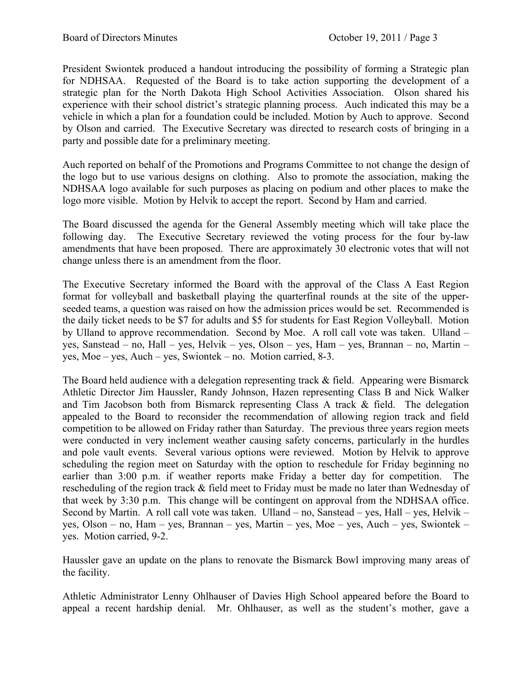President Swiontek produced a handout introducing the possibility of forming a Strategic plan for NDHSAA. Requested of the Board is to take action supporting the development of a strategic plan for the North Dakota High School Activities Association. Olson shared his experience with their school district's strategic planning process. Auch indicated this may be a vehicle in which a plan for a foundation could be included. Motion by Auch to approve. Second by Olson and carried. The Executive Secretary was directed to research costs of bringing in a party and possible date for a preliminary meeting.

Auch reported on behalf of the Promotions and Programs Committee to not change the design of the logo but to use various designs on clothing. Also to promote the association, making the NDHSAA logo available for such purposes as placing on podium and other places to make the logo more visible. Motion by Helvik to accept the report. Second by Ham and carried.

The Board discussed the agenda for the General Assembly meeting which will take place the following day. The Executive Secretary reviewed the voting process for the four by-law amendments that have been proposed. There are approximately 30 electronic votes that will not change unless there is an amendment from the floor.

The Executive Secretary informed the Board with the approval of the Class A East Region format for volleyball and basketball playing the quarterfinal rounds at the site of the upperseeded teams, a question was raised on how the admission prices would be set. Recommended is the daily ticket needs to be \$7 for adults and \$5 for students for East Region Volleyball. Motion by Ulland to approve recommendation. Second by Moe. A roll call vote was taken. Ulland – yes, Sanstead – no, Hall – yes, Helvik – yes, Olson – yes, Ham – yes, Brannan – no, Martin – yes, Moe – yes, Auch – yes, Swiontek – no. Motion carried, 8-3.

The Board held audience with a delegation representing track & field. Appearing were Bismarck Athletic Director Jim Haussler, Randy Johnson, Hazen representing Class B and Nick Walker and Tim Jacobson both from Bismarck representing Class A track & field. The delegation appealed to the Board to reconsider the recommendation of allowing region track and field competition to be allowed on Friday rather than Saturday. The previous three years region meets were conducted in very inclement weather causing safety concerns, particularly in the hurdles and pole vault events. Several various options were reviewed. Motion by Helvik to approve scheduling the region meet on Saturday with the option to reschedule for Friday beginning no earlier than 3:00 p.m. if weather reports make Friday a better day for competition. The rescheduling of the region track & field meet to Friday must be made no later than Wednesday of that week by 3:30 p.m. This change will be contingent on approval from the NDHSAA office. Second by Martin. A roll call vote was taken. Ulland – no, Sanstead – yes, Hall – yes, Helvik – yes, Olson – no, Ham – yes, Brannan – yes, Martin – yes, Moe – yes, Auch – yes, Swiontek – yes. Motion carried, 9-2.

Haussler gave an update on the plans to renovate the Bismarck Bowl improving many areas of the facility.

Athletic Administrator Lenny Ohlhauser of Davies High School appeared before the Board to appeal a recent hardship denial. Mr. Ohlhauser, as well as the student's mother, gave a